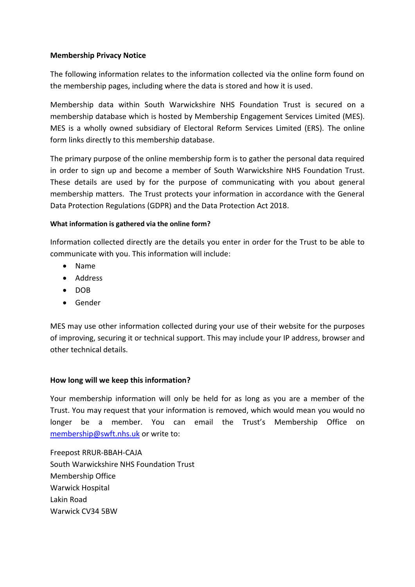## **Membership Privacy Notice**

The following information relates to the information collected via the online form found on the membership pages, including where the data is stored and how it is used.

Membership data within South Warwickshire NHS Foundation Trust is secured on a membership database which is hosted by Membership Engagement Services Limited (MES). MES is a wholly owned subsidiary of Electoral Reform Services Limited (ERS). The online form links directly to this membership database.

The primary purpose of the online membership form is to gather the personal data required in order to sign up and become a member of South Warwickshire NHS Foundation Trust. These details are used by for the purpose of communicating with you about general membership matters. The Trust protects your information in accordance with the General Data Protection Regulations (GDPR) and the Data Protection Act 2018.

## **What information is gathered via the online form?**

Information collected directly are the details you enter in order for the Trust to be able to communicate with you. This information will include:

- Name
- Address
- DOB
- **•** Gender

MES may use other information collected during your use of their website for the purposes of improving, securing it or technical support. This may include your IP address, browser and other technical details.

# **How long will we keep this information?**

Your membership information will only be held for as long as you are a member of the Trust. You may request that your information is removed, which would mean you would no longer be a member. You can email the Trust's Membership Office on [membership@swft.nhs.uk](mailto:membership@swft.nhs.uk) or write to:

Freepost RRUR-BBAH-CAJA South Warwickshire NHS Foundation Trust Membership Office Warwick Hospital Lakin Road Warwick CV34 5BW